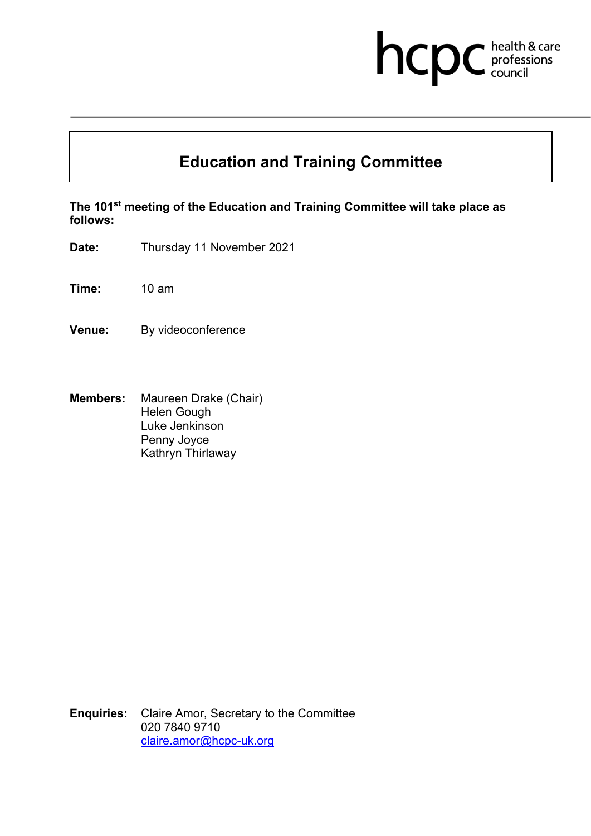# hcpc health & care

## **Education and Training Committee**

**The 101 st meeting of the Education and Training Committee will take place as follows:**

**Date:** Thursday 11 November 2021

**Time:** 10 am

**Venue:** By videoconference

**Members:** Maureen Drake (Chair) Helen Gough Luke Jenkinson Penny Joyce Kathryn Thirlaway

**Enquiries:** Claire Amor, Secretary to the Committee 020 7840 9710 [claire.amor@hcpc-uk.org](mailto:claire.amor@hcpc-uk.org)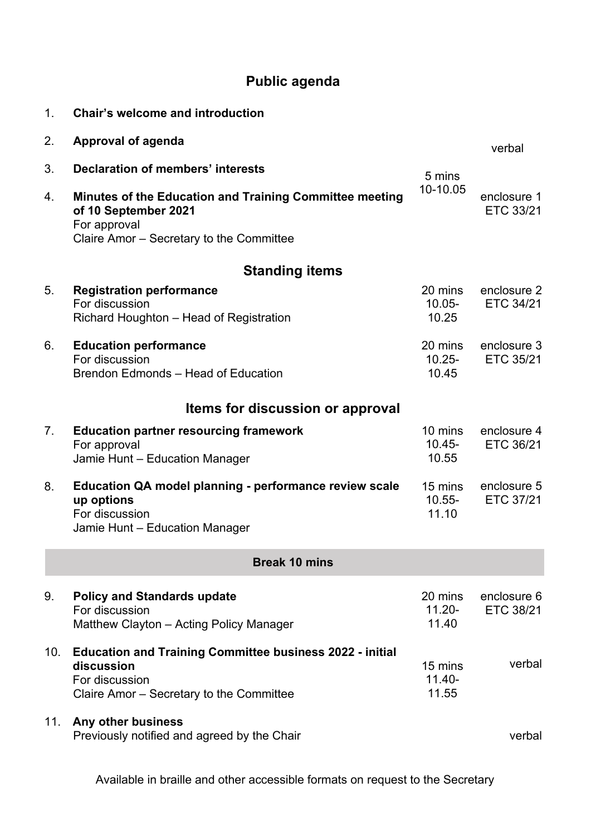### **Public agenda**

| $\mathbf{1}$ .                   | <b>Chair's welcome and introduction</b>                                                                                                     |                               |                                 |  |  |  |
|----------------------------------|---------------------------------------------------------------------------------------------------------------------------------------------|-------------------------------|---------------------------------|--|--|--|
| 2.                               | <b>Approval of agenda</b>                                                                                                                   |                               | verbal                          |  |  |  |
| 3.                               | Declaration of members' interests                                                                                                           | 5 mins                        |                                 |  |  |  |
| 4.                               | Minutes of the Education and Training Committee meeting<br>of 10 September 2021<br>For approval<br>Claire Amor - Secretary to the Committee | 10-10.05                      | enclosure 1<br>ETC 33/21        |  |  |  |
|                                  | <b>Standing items</b>                                                                                                                       |                               |                                 |  |  |  |
| 5.                               | <b>Registration performance</b><br>For discussion<br>Richard Houghton - Head of Registration                                                | 20 mins<br>10.05-<br>10.25    | enclosure 2<br>ETC 34/21        |  |  |  |
| 6.                               | <b>Education performance</b><br>For discussion<br>Brendon Edmonds - Head of Education                                                       | 20 mins<br>$10.25 -$<br>10.45 | enclosure 3<br>ETC 35/21        |  |  |  |
|                                  | Items for discussion or approval                                                                                                            |                               |                                 |  |  |  |
| $7_{\scriptscriptstyle{\ddots}}$ | <b>Education partner resourcing framework</b><br>For approval<br>Jamie Hunt - Education Manager                                             | 10 mins<br>$10.45 -$<br>10.55 | enclosure 4<br>ETC 36/21        |  |  |  |
| 8.                               | Education QA model planning - performance review scale<br>up options<br>For discussion<br>Jamie Hunt - Education Manager                    | 15 mins<br>$10.55 -$<br>11.10 | enclosure 5<br><b>ETC 37/21</b> |  |  |  |
| <b>Break 10 mins</b>             |                                                                                                                                             |                               |                                 |  |  |  |
| 9.                               | <b>Policy and Standards update</b><br>For discussion<br>Matthew Clayton - Acting Policy Manager                                             | 20 mins<br>$11.20 -$<br>11.40 | enclosure 6<br>ETC 38/21        |  |  |  |
| 10.                              | <b>Education and Training Committee business 2022 - initial</b><br>discussion<br>For discussion<br>Claire Amor – Secretary to the Committee | 15 mins<br>$11.40 -$<br>11.55 | verbal                          |  |  |  |
| 11.                              | Any other business<br>Previously notified and agreed by the Chair                                                                           |                               | verbal                          |  |  |  |

Available in braille and other accessible formats on request to the Secretary